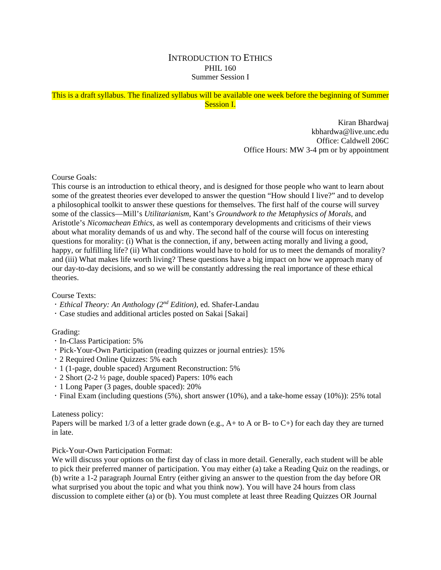### INTRODUCTION TO ETHICS PHIL 160 Summer Session I

```
This is a draft syllabus. The finalized syllabus will be available one week before the beginning of Summer 
                                     Session I.
```
Kiran Bhardwaj kbhardwa@live.unc.edu Office: Caldwell 206C Office Hours: MW 3-4 pm or by appointment

Course Goals:

This course is an introduction to ethical theory, and is designed for those people who want to learn about some of the greatest theories ever developed to answer the question "How should I live?" and to develop a philosophical toolkit to answer these questions for themselves. The first half of the course will survey some of the classics—Mill's *Utilitarianism,* Kant's *Groundwork to the Metaphysics of Morals,* and Aristotle's *Nicomachean Ethics,* as well as contemporary developments and criticisms of their views about what morality demands of us and why. The second half of the course will focus on interesting questions for morality: (i) What is the connection, if any, between acting morally and living a good, happy, or fulfilling life? (ii) What conditions would have to hold for us to meet the demands of morality? and (iii) What makes life worth living? These questions have a big impact on how we approach many of our day-to-day decisions, and so we will be constantly addressing the real importance of these ethical theories.

Course Texts:

- *Ethical Theory: An Anthology (2nd Edition)*, ed. Shafer-Landau
- Case studies and additional articles posted on Sakai [Sakai]

### Grading:

- In-Class Participation: 5%
- Pick-Your-Own Participation (reading quizzes or journal entries): 15%
- 2 Required Online Quizzes: 5% each
- 1 (1-page, double spaced) Argument Reconstruction: 5%
- $\cdot$  2 Short (2-2  $\frac{1}{2}$  page, double spaced) Papers: 10% each
- 1 Long Paper (3 pages, double spaced): 20%
- Final Exam (including questions (5%), short answer (10%), and a take-home essay (10%)): 25% total

#### Lateness policy:

Papers will be marked 1/3 of a letter grade down (e.g., A+ to A or B- to C+) for each day they are turned in late.

Pick-Your-Own Participation Format:

We will discuss your options on the first day of class in more detail. Generally, each student will be able to pick their preferred manner of participation. You may either (a) take a Reading Quiz on the readings, or (b) write a 1-2 paragraph Journal Entry (either giving an answer to the question from the day before OR what surprised you about the topic and what you think now). You will have 24 hours from class discussion to complete either (a) or (b). You must complete at least three Reading Quizzes OR Journal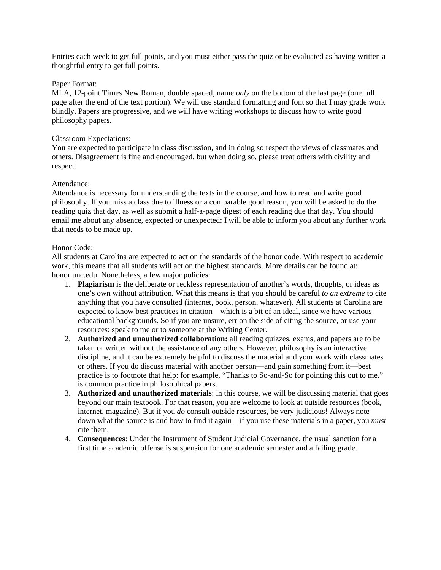Entries each week to get full points, and you must either pass the quiz or be evaluated as having written a thoughtful entry to get full points.

#### Paper Format:

MLA, 12-point Times New Roman, double spaced, name *only* on the bottom of the last page (one full page after the end of the text portion). We will use standard formatting and font so that I may grade work blindly. Papers are progressive, and we will have writing workshops to discuss how to write good philosophy papers.

#### Classroom Expectations:

You are expected to participate in class discussion, and in doing so respect the views of classmates and others. Disagreement is fine and encouraged, but when doing so, please treat others with civility and respect.

#### Attendance:

Attendance is necessary for understanding the texts in the course, and how to read and write good philosophy. If you miss a class due to illness or a comparable good reason, you will be asked to do the reading quiz that day, as well as submit a half-a-page digest of each reading due that day. You should email me about any absence, expected or unexpected: I will be able to inform you about any further work that needs to be made up.

#### Honor Code:

All students at Carolina are expected to act on the standards of the honor code. With respect to academic work, this means that all students will act on the highest standards. More details can be found at: honor.unc.edu. Nonetheless, a few major policies:

- 1. **Plagiarism** is the deliberate or reckless representation of another's words, thoughts, or ideas as one's own without attribution. What this means is that you should be careful *to an extreme* to cite anything that you have consulted (internet, book, person, whatever). All students at Carolina are expected to know best practices in citation—which is a bit of an ideal, since we have various educational backgrounds. So if you are unsure, err on the side of citing the source, or use your resources: speak to me or to someone at the Writing Center.
- 2. **Authorized and unauthorized collaboration:** all reading quizzes, exams, and papers are to be taken or written without the assistance of any others. However, philosophy is an interactive discipline, and it can be extremely helpful to discuss the material and your work with classmates or others. If you do discuss material with another person—and gain something from it—best practice is to footnote that help: for example, "Thanks to So-and-So for pointing this out to me." is common practice in philosophical papers.
- 3. **Authorized and unauthorized materials**: in this course, we will be discussing material that goes beyond our main textbook. For that reason, you are welcome to look at outside resources (book, internet, magazine). But if you *do* consult outside resources, be very judicious! Always note down what the source is and how to find it again—if you use these materials in a paper, you *must*  cite them.
- 4. **Consequences**: Under the Instrument of Student Judicial Governance, the usual sanction for a first time academic offense is suspension for one academic semester and a failing grade.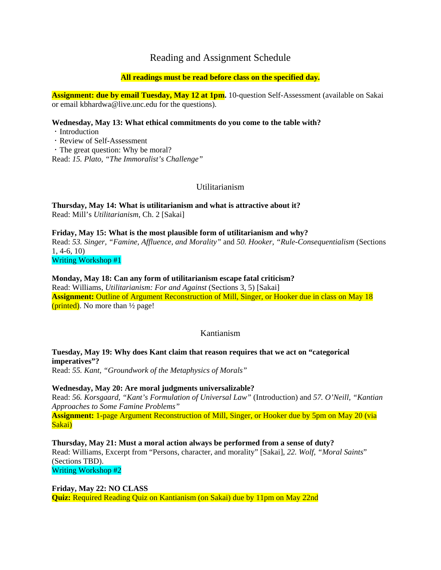# Reading and Assignment Schedule

### **All readings must be read before class on the specified day.**

**Assignment: due by email Tuesday, May 12 at 1pm.** 10-question Self-Assessment (available on Sakai or email kbhardwa@live.unc.edu for the questions).

#### **Wednesday, May 13: What ethical commitments do you come to the table with?**

• Introduction

Review of Self-Assessment

The great question: Why be moral?

Read: *15. Plato, "The Immoralist's Challenge"*

## Utilitarianism

**Thursday, May 14: What is utilitarianism and what is attractive about it?**  Read: Mill's *Utilitarianism*, Ch. 2 [Sakai]

**Friday, May 15: What is the most plausible form of utilitarianism and why?**  Read: *53. Singer, "Famine, Affluence, and Morality"* and *50. Hooker, "Rule-Consequentialism* (Sections 1, 4-6, 10) Writing Workshop #1

#### **Monday, May 18: Can any form of utilitarianism escape fatal criticism?**

Read: Williams, *Utilitarianism: For and Against* (Sections 3, 5) [Sakai] **Assignment:** Outline of Argument Reconstruction of Mill, Singer, or Hooker due in class on May 18 (printed). No more than  $\frac{1}{2}$  page!

### Kantianism

# **Tuesday, May 19: Why does Kant claim that reason requires that we act on "categorical imperatives"?**

Read: *55. Kant, "Groundwork of the Metaphysics of Morals"*

### **Wednesday, May 20: Are moral judgments universalizable?**

Read: *56. Korsgaard, "Kant's Formulation of Universal Law"* (Introduction) and *57. O'Neill, "Kantian Approaches to Some Famine Problems"*

**Assignment:** 1-page Argument Reconstruction of Mill, Singer, or Hooker due by 5pm on May 20 (via Sakai)

**Thursday, May 21: Must a moral action always be performed from a sense of duty?**  Read: Williams, Excerpt from "Persons, character, and morality" [Sakai], *22. Wolf, "Moral Saints*" (Sections TBD). Writing Workshop #2

**Friday, May 22: NO CLASS Quiz:** Required Reading Quiz on Kantianism (on Sakai) due by 11pm on May 22nd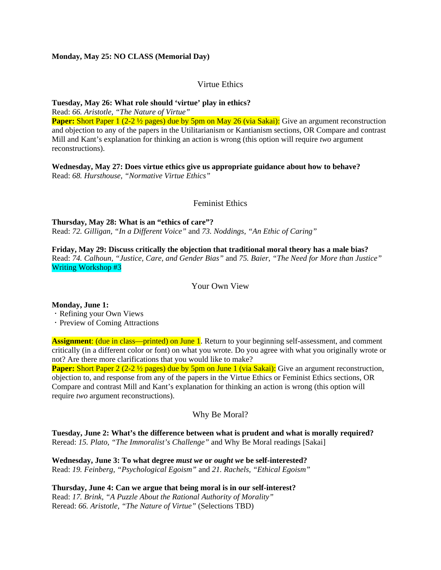### **Monday, May 25: NO CLASS (Memorial Day)**

### Virtue Ethics

**Tuesday, May 26: What role should 'virtue' play in ethics?** 

Read: *66. Aristotle, "The Nature of Virtue"* **Paper:** Short Paper 1 (2-2 ½ pages) due by 5pm on May 26 (via Sakai): Give an argument reconstruction and objection to any of the papers in the Utilitarianism or Kantianism sections, OR Compare and contrast Mill and Kant's explanation for thinking an action is wrong (this option will require *two* argument reconstructions).

**Wednesday, May 27: Does virtue ethics give us appropriate guidance about how to behave?**  Read: *68. Hursthouse, "Normative Virtue Ethics"*

### Feminist Ethics

**Thursday, May 28: What is an "ethics of care"?**  Read: *72. Gilligan, "In a Different Voice"* and *73. Noddings, "An Ethic of Caring"*

**Friday, May 29: Discuss critically the objection that traditional moral theory has a male bias?**  Read: *74. Calhoun, "Justice, Care, and Gender Bias"* and *75. Baier, "The Need for More than Justice"*  Writing Workshop #3

Your Own View

**Monday, June 1:** 

Refining your Own Views

Preview of Coming Attractions

**Assignment:** (due in class—printed) on June 1. Return to your beginning self-assessment, and comment critically (in a different color or font) on what you wrote. Do you agree with what you originally wrote or not? Are there more clarifications that you would like to make?

**Paper:** Short Paper 2 (2-2 ½ pages) due by 5pm on June 1 (via Sakai): Give an argument reconstruction, objection to, and response from any of the papers in the Virtue Ethics or Feminist Ethics sections, OR Compare and contrast Mill and Kant's explanation for thinking an action is wrong (this option will require *two* argument reconstructions).

Why Be Moral?

**Tuesday, June 2: What's the difference between what is prudent and what is morally required?**  Reread: *15. Plato, "The Immoralist's Challenge"* and Why Be Moral readings [Sakai]

**Wednesday, June 3: To what degree** *must we* **or** *ought we* **be self-interested?**  Read: *19. Feinberg, "Psychological Egoism"* and *21. Rachels, "Ethical Egoism"*

**Thursday, June 4: Can we argue that being moral is in our self-interest?**  Read: *17. Brink, "A Puzzle About the Rational Authority of Morality"* Reread: *66. Aristotle, "The Nature of Virtue"* (Selections TBD)